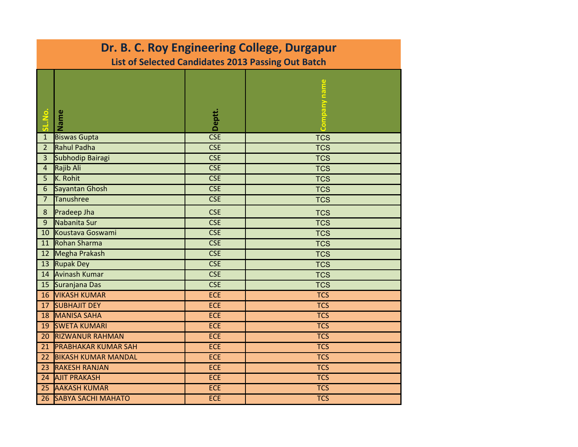| Dr. B. C. Roy Engineering College, Durgapur        |                            |            |            |  |  |  |
|----------------------------------------------------|----------------------------|------------|------------|--|--|--|
| List of Selected Candidates 2013 Passing Out Batch |                            |            |            |  |  |  |
|                                                    | Name                       | Deptt.     |            |  |  |  |
| $\mathbf{1}$                                       | <b>Biswas Gupta</b>        | <b>CSE</b> | <b>TCS</b> |  |  |  |
| 2 <sup>2</sup>                                     | <b>Rahul Padha</b>         | <b>CSE</b> | <b>TCS</b> |  |  |  |
| 3                                                  | Subhodip Bairagi           | <b>CSE</b> | <b>TCS</b> |  |  |  |
| $\overline{4}$                                     | Rajib Ali                  | <b>CSE</b> | <b>TCS</b> |  |  |  |
| 5                                                  | K. Rohit                   | <b>CSE</b> | <b>TCS</b> |  |  |  |
| $6\phantom{.}$                                     | Sayantan Ghosh             | <b>CSE</b> | <b>TCS</b> |  |  |  |
| 7 <sup>7</sup>                                     | <b>Tanushree</b>           | <b>CSE</b> | <b>TCS</b> |  |  |  |
| $\bf 8$                                            | Pradeep Jha                | <b>CSE</b> | <b>TCS</b> |  |  |  |
| 9                                                  | Nabanita Sur               | <b>CSE</b> | <b>TCS</b> |  |  |  |
| 10                                                 | Koustava Goswami           | <b>CSE</b> | <b>TCS</b> |  |  |  |
| 11                                                 | Rohan Sharma               | <b>CSE</b> | <b>TCS</b> |  |  |  |
| 12 <sup>2</sup>                                    | Megha Prakash              | <b>CSE</b> | <b>TCS</b> |  |  |  |
| 13                                                 | <b>Rupak Dey</b>           | <b>CSE</b> | <b>TCS</b> |  |  |  |
| 14                                                 | Avinash Kumar              | <b>CSE</b> | <b>TCS</b> |  |  |  |
| 15                                                 | Suranjana Das              | <b>CSE</b> | <b>TCS</b> |  |  |  |
| 16                                                 | <b>VIKASH KUMAR</b>        | <b>ECE</b> | <b>TCS</b> |  |  |  |
| 17                                                 | <b>SUBHAJIT DEY</b>        | <b>ECE</b> | TCS        |  |  |  |
| 18                                                 | MANISA SAHA                | <b>ECE</b> | <b>TCS</b> |  |  |  |
| 19                                                 | <b>SWETA KUMARI</b>        | <b>ECE</b> | <b>TCS</b> |  |  |  |
| 20                                                 | <b>RIZWANUR RAHMAN</b>     | <b>ECE</b> | <b>TCS</b> |  |  |  |
| 21                                                 | <b>PRABHAKAR KUMAR SAH</b> | <b>ECE</b> | <b>TCS</b> |  |  |  |
| 22                                                 | <b>BIKASH KUMAR MANDAL</b> | <b>ECE</b> | <b>TCS</b> |  |  |  |
| 23                                                 | <b>RAKESH RANJAN</b>       | <b>ECE</b> | <b>TCS</b> |  |  |  |
| 24                                                 | <b>AJIT PRAKASH</b>        | <b>ECE</b> | <b>TCS</b> |  |  |  |
| 25                                                 | <b>AAKASH KUMAR</b>        | <b>ECE</b> | <b>TCS</b> |  |  |  |
| 26                                                 | <b>SABYA SACHI MAHATO</b>  | <b>ECE</b> | <b>TCS</b> |  |  |  |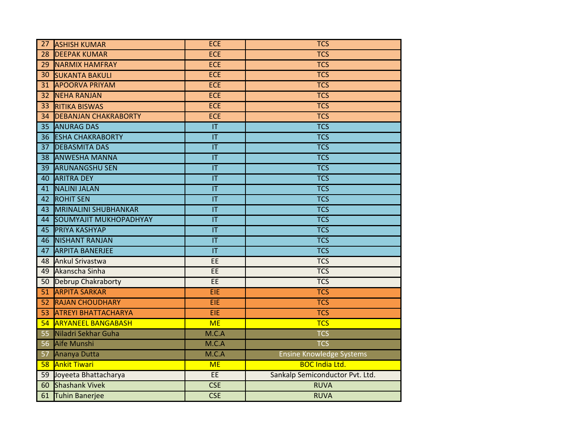| 27<br><b>ASHISH KUMAR</b>            | <b>ECE</b>                        | <b>TCS</b>                      |
|--------------------------------------|-----------------------------------|---------------------------------|
| <b>DEEPAK KUMAR</b><br>28            | <b>ECE</b>                        | <b>TCS</b>                      |
| 29<br><b>NARMIX HAMFRAY</b>          | <b>ECE</b>                        | <b>TCS</b>                      |
| 30<br><b>SUKANTA BAKULI</b>          | <b>ECE</b>                        | <b>TCS</b>                      |
| <b>APOORVA PRIYAM</b><br>31          | <b>ECE</b>                        | <b>TCS</b>                      |
| <b>NEHA RANJAN</b><br>32             | <b>ECE</b>                        | <b>TCS</b>                      |
| 33<br><b>RITIKA BISWAS</b>           | <b>ECE</b>                        | <b>TCS</b>                      |
| <b>DEBANJAN CHAKRABORTY</b><br>34    | <b>ECE</b>                        | <b>TCS</b>                      |
| <b>ANURAG DAS</b><br>35 <sub>1</sub> | IT                                | <b>TCS</b>                      |
| <b>ESHA CHAKRABORTY</b><br>36        | $\overline{\mathsf{I}\mathsf{T}}$ | <b>TCS</b>                      |
| <b>DEBASMITA DAS</b><br>37           | $\overline{\mathsf{I}\mathsf{T}}$ | <b>TCS</b>                      |
| 38 ANWESHA MANNA                     | $\overline{\mathsf{I}\mathsf{T}}$ | $\overline{\text{TCS}}$         |
| <b>ARUNANGSHU SEN</b><br>39          | $\overline{\mathsf{I}\mathsf{T}}$ | $\overline{TCS}$                |
| <b>ARITRA DEY</b><br>40              | $\overline{\mathsf{I}\mathsf{T}}$ | <b>TCS</b>                      |
| <b>NALINI JALAN</b><br>41            | $\overline{\mathsf{I}\mathsf{T}}$ | <b>TCS</b>                      |
| <b>ROHIT SEN</b><br>42               | IT                                | <b>TCS</b>                      |
| <b>MRINALINI SHUBHANKAR</b><br>43    | $\overline{\mathsf{T}}$           | $\overline{TCS}$                |
| SOUMYAJIT MUKHOPADHYAY<br>44         | IT                                | $\overline{TCS}$                |
| <b>PRIYA KASHYAP</b><br>45           | $\overline{\mathsf{I}\mathsf{T}}$ | $\overline{\text{TCS}}$         |
| <b>NISHANT RANJAN</b><br>46          | IT                                | <b>TCS</b>                      |
| <b>ARPITA BANERJEE</b><br>47         | $\overline{\mathsf{I}\mathsf{T}}$ | $\overline{TCS}$                |
| <b>Ankul Srivastwa</b><br>48         | EE                                | <b>TCS</b>                      |
| 49 Akanscha Sinha                    | EE                                | <b>TCS</b>                      |
| Debrup Chakraborty<br>50             | EE                                | <b>TCS</b>                      |
| <b>ARPITA SARKAR</b><br>51           | EIE                               | <b>TCS</b>                      |
| <b>RAJAN CHOUDHARY</b><br>52         | EIE                               | <b>TCS</b>                      |
| <b>ATREYI BHATTACHARYA</b><br>53     | EIE                               | <b>TCS</b>                      |
| <b>ARYANEEL BANGABASH</b><br>54      | <b>ME</b>                         | <b>TCS</b>                      |
| Niladri Sekhar Guha<br>55            | M.C.A                             | <b>TCS</b>                      |
| Aife Munshi<br>56                    | M.C.A                             | <b>TCS</b>                      |
| Ananya Dutta<br>57                   | M.C.A                             | <b>Ensine Knowledge Systems</b> |
| <b>Ankit Tiwari</b><br>58            | <b>ME</b>                         | <b>BOC India Ltd.</b>           |
| Joyeeta Bhattacharya<br>59           | EE                                | Sankalp Semiconductor Pvt. Ltd. |
| <b>Shashank Vivek</b><br>60          | <b>CSE</b>                        | <b>RUVA</b>                     |
| 61<br>Tuhin Banerjee                 | <b>CSE</b>                        | <b>RUVA</b>                     |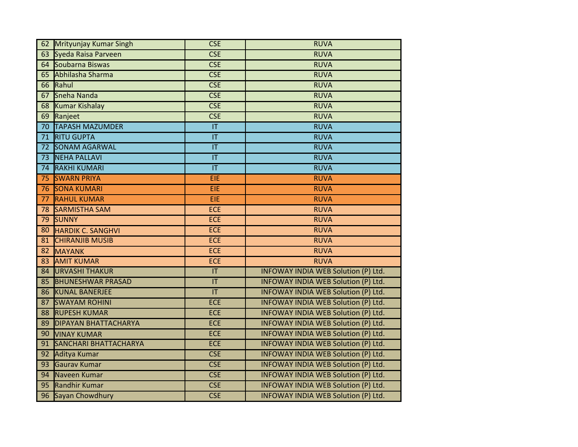| Mrityunjay Kumar Singh<br>62           | <b>CSE</b>                        | <b>RUVA</b>                                |
|----------------------------------------|-----------------------------------|--------------------------------------------|
| Syeda Raisa Parveen<br>63              | <b>CSE</b>                        | <b>RUVA</b>                                |
| Soubarna Biswas<br>64                  | <b>CSE</b>                        | <b>RUVA</b>                                |
| Abhilasha Sharma<br>65                 | <b>CSE</b>                        | <b>RUVA</b>                                |
| Rahul<br>66                            | <b>CSE</b>                        | <b>RUVA</b>                                |
| Sneha Nanda<br>67                      | <b>CSE</b>                        | <b>RUVA</b>                                |
| <b>Kumar Kishalay</b><br>68            | <b>CSE</b>                        | <b>RUVA</b>                                |
| 69<br>Ranjeet                          | CSE                               | <b>RUVA</b>                                |
| <b>TAPASH MAZUMDER</b><br>70           | IT                                | <b>RUVA</b>                                |
| <b>RITU GUPTA</b><br>71                | T                                 | <b>RUVA</b>                                |
| <b>SONAM AGARWAL</b><br>72             | $\overline{\mathsf{I}\mathsf{T}}$ | <b>RUVA</b>                                |
| <b>NEHA PALLAVI</b><br>$\overline{73}$ | $\overline{\mathsf{T}}$           | <b>RUVA</b>                                |
| <b>RAKHI KUMARI</b><br>74              | $\overline{\mathsf{T}}$           | <b>RUVA</b>                                |
| <b>SWARN PRIYA</b><br>75               | EIE                               | <b>RUVA</b>                                |
| <b>SONA KUMARI</b><br>76               | EIE                               | <b>RUVA</b>                                |
| <b>RAHUL KUMAR</b><br>77               | EIE                               | <b>RUVA</b>                                |
| <b>SARMISTHA SAM</b><br>78             | <b>ECE</b>                        | <b>RUVA</b>                                |
| 79<br><b>SUNNY</b>                     | <b>ECE</b>                        | <b>RUVA</b>                                |
| 80<br><b>HARDIK C. SANGHVI</b>         | <b>ECE</b>                        | <b>RUVA</b>                                |
| <b>CHIRANJIB MUSIB</b><br>81           | <b>ECE</b>                        | <b>RUVA</b>                                |
| 82<br><b>MAYANK</b>                    | <b>ECE</b>                        | <b>RUVA</b>                                |
| <b>AMIT KUMAR</b><br>83                | <b>ECE</b>                        | <b>RUVA</b>                                |
| <b>URVASHI THAKUR</b><br>84            | IT                                | INFOWAY INDIA WEB Solution (P) Ltd.        |
| 85<br><b>BHUNESHWAR PRASAD</b>         | IT                                | INFOWAY INDIA WEB Solution (P) Ltd.        |
| <b>KUNAL BANERJEE</b><br>86            | T                                 | INFOWAY INDIA WEB Solution (P) Ltd.        |
| 87<br><b>SWAYAM ROHINI</b>             | <b>ECE</b>                        | INFOWAY INDIA WEB Solution (P) Ltd.        |
| <b>RUPESH KUMAR</b><br>88              | <b>ECE</b>                        | INFOWAY INDIA WEB Solution (P) Ltd.        |
| <b>DIPAYAN BHATTACHARYA</b><br>89      | <b>ECE</b>                        | INFOWAY INDIA WEB Solution (P) Ltd.        |
| 90<br><b>VINAY KUMAR</b>               | <b>ECE</b>                        | INFOWAY INDIA WEB Solution (P) Ltd.        |
| <b>SANCHARI BHATTACHARYA</b><br>91     | <b>ECE</b>                        | INFOWAY INDIA WEB Solution (P) Ltd.        |
| 92<br>Aditya Kumar                     | <b>CSE</b>                        | INFOWAY INDIA WEB Solution (P) Ltd.        |
| Gaurav Kumar<br>93                     | <b>CSE</b>                        | INFOWAY INDIA WEB Solution (P) Ltd.        |
| Naveen Kumar<br>94                     | CSE                               | <b>INFOWAY INDIA WEB Solution (P) Ltd.</b> |
| <b>Randhir Kumar</b><br>95             | <b>CSE</b>                        | INFOWAY INDIA WEB Solution (P) Ltd.        |
| Sayan Chowdhury<br>96                  | <b>CSE</b>                        | INFOWAY INDIA WEB Solution (P) Ltd.        |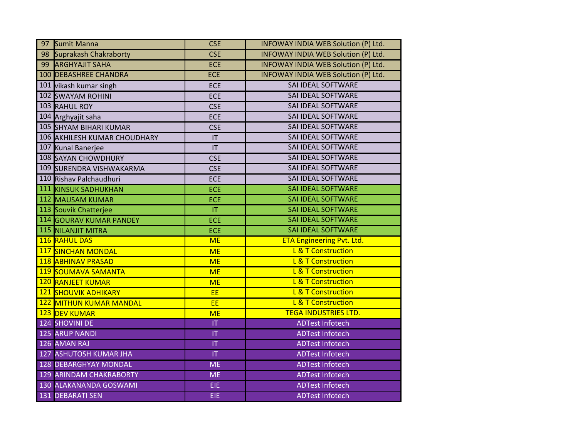| 97 Sumit Manna                 | <b>CSE</b>     | INFOWAY INDIA WEB Solution (P) Ltd. |
|--------------------------------|----------------|-------------------------------------|
| 98 Suprakash Chakraborty       | <b>CSE</b>     | INFOWAY INDIA WEB Solution (P) Ltd. |
| 99 ARGHYAJIT SAHA              | <b>ECE</b>     | INFOWAY INDIA WEB Solution (P) Ltd. |
| 100 DEBASHREE CHANDRA          | <b>ECE</b>     | INFOWAY INDIA WEB Solution (P) Ltd. |
| 101 vikash kumar singh         | <b>ECE</b>     | <b>SAI IDEAL SOFTWARE</b>           |
| <b>102 SWAYAM ROHINI</b>       | <b>ECE</b>     | <b>SAI IDEAL SOFTWARE</b>           |
| 103 RAHUL ROY                  | <b>CSE</b>     | <b>SAI IDEAL SOFTWARE</b>           |
| 104 Arghyajit saha             | <b>ECE</b>     | SAI IDEAL SOFTWARE                  |
| 105 SHYAM BIHARI KUMAR         | <b>CSE</b>     | <b>SAI IDEAL SOFTWARE</b>           |
| 106 AKHILESH KUMAR CHOUDHARY   | IT             | SAI IDEAL SOFTWARE                  |
| 107 Kunal Banerjee             | IT             | <b>SAI IDEAL SOFTWARE</b>           |
| 108 SAYAN CHOWDHURY            | <b>CSE</b>     | SAI IDEAL SOFTWARE                  |
| 109 SURENDRA VISHWAKARMA       | <b>CSE</b>     | <b>SAI IDEAL SOFTWARE</b>           |
| 110 Rishav Palchaudhuri        | <b>ECE</b>     | <b>SAI IDEAL SOFTWARE</b>           |
| <b>111 KINSUK SADHUKHAN</b>    | <b>ECE</b>     | <b>SAI IDEAL SOFTWARE</b>           |
| 112 MAUSAM KUMAR               | <b>ECE</b>     | <b>SAI IDEAL SOFTWARE</b>           |
| 113 Souvik Chatterjee          | T              | <b>SAI IDEAL SOFTWARE</b>           |
| 114 GOURAV KUMAR PANDEY        | <b>ECE</b>     | <b>SAI IDEAL SOFTWARE</b>           |
| 115 NILANJIT MITRA             | <b>ECE</b>     | <b>SAI IDEAL SOFTWARE</b>           |
| 116 RAHUL DAS                  | <b>ME</b>      | <b>ETA Engineering Pvt. Ltd.</b>    |
| 117 SINCHAN MONDAL             | <b>ME</b>      | L & T Construction                  |
| 118 ABHINAV PRASAD             | <b>ME</b>      | L & T Construction                  |
| 119 SOUMAVA SAMANTA            | <b>ME</b>      | L & T Construction                  |
| 120 RANJEET KUMAR              | <b>ME</b>      | L & T Construction                  |
| <b>121 SHOUVIK ADHIKARY</b>    | EE             | L & T Construction                  |
| 122 MITHUN KUMAR MANDAL        | EE             | L & T Construction                  |
| 123 DEV KUMAR                  | <b>ME</b>      | <b>TEGA INDUSTRIES LTD.</b>         |
| 124 SHOVINI DE                 | $ \mathsf{T} $ | <b>ADTest Infotech</b>              |
| <b>125 ARUP NANDI</b>          | IT             | <b>ADTest Infotech</b>              |
| 126 AMAN RAJ                   | T              | <b>ADTest Infotech</b>              |
| <b>127 ASHUTOSH KUMAR JHA</b>  | T              | <b>ADTest Infotech</b>              |
| <b>128 DEBARGHYAY MONDAL</b>   | <b>ME</b>      | <b>ADTest Infotech</b>              |
| <b>129 ARINDAM CHAKRABORTY</b> | <b>ME</b>      | <b>ADTest Infotech</b>              |
| 130 ALAKANANDA GOSWAMI         | EIE            | <b>ADTest Infotech</b>              |
| 131 DEBARATI SEN               | EIE            | <b>ADTest Infotech</b>              |